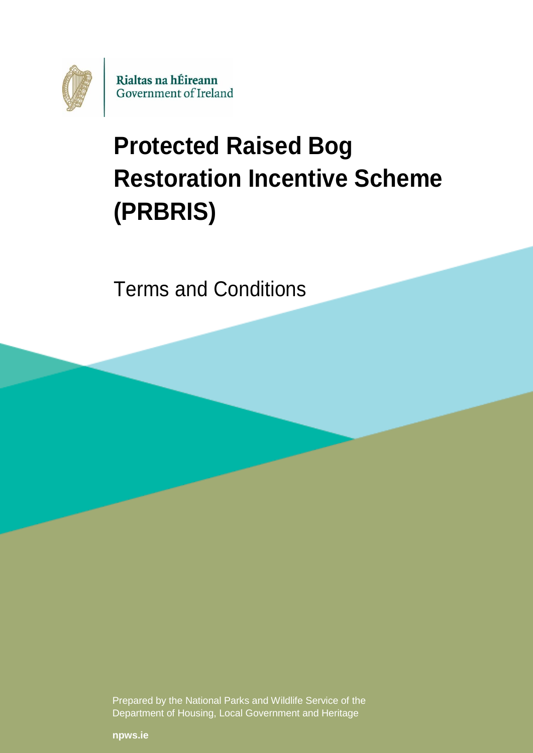

# **Protected Raised Bog Restoration Incentive Scheme (PRBRIS)**

Terms and Conditions

Prepared by the National Parks and Wildlife Service of the Department of Housing, Local Government and Heritage

**[npws.ie](https://www.npws.ie/)**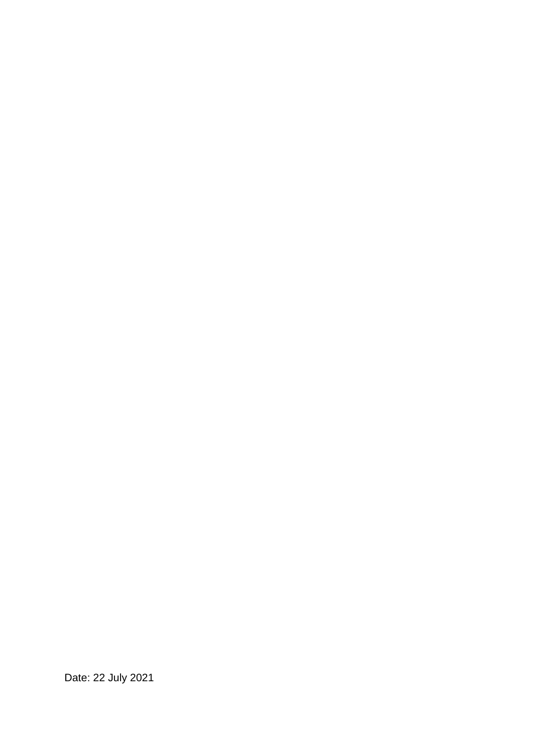Date: 22 July 2021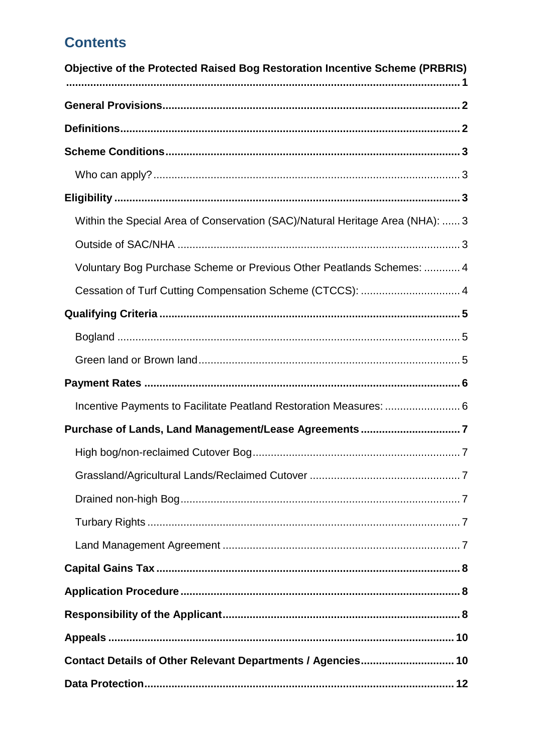# **Contents**

| Objective of the Protected Raised Bog Restoration Incentive Scheme (PRBRIS)   |
|-------------------------------------------------------------------------------|
|                                                                               |
|                                                                               |
|                                                                               |
|                                                                               |
|                                                                               |
| Within the Special Area of Conservation (SAC)/Natural Heritage Area (NHA):  3 |
|                                                                               |
| Voluntary Bog Purchase Scheme or Previous Other Peatlands Schemes:  4         |
| Cessation of Turf Cutting Compensation Scheme (CTCCS):  4                     |
|                                                                               |
|                                                                               |
|                                                                               |
|                                                                               |
| Incentive Payments to Facilitate Peatland Restoration Measures:  6            |
|                                                                               |
|                                                                               |
|                                                                               |
|                                                                               |
|                                                                               |
|                                                                               |
|                                                                               |
|                                                                               |
|                                                                               |
|                                                                               |
|                                                                               |
|                                                                               |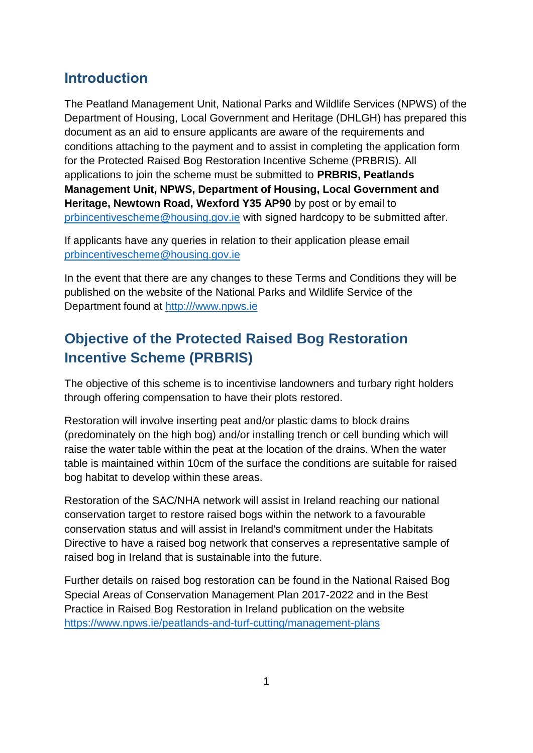## **Introduction**

The Peatland Management Unit, National Parks and Wildlife Services (NPWS) of the Department of Housing, Local Government and Heritage (DHLGH) has prepared this document as an aid to ensure applicants are aware of the requirements and conditions attaching to the payment and to assist in completing the application form for the Protected Raised Bog Restoration Incentive Scheme (PRBRIS). All applications to join the scheme must be submitted to **PRBRIS, Peatlands Management Unit, NPWS, Department of Housing, Local Government and Heritage, Newtown Road, Wexford Y35 AP90** by post or by email to [prbincentivescheme@housing.gov.ie](mailto:prbincentivescheme@housing.gov.ie) with signed hardcopy to be submitted after.

If applicants have any queries in relation to their application please email [prbincentivescheme@housing.gov.ie](mailto:peatlandsmanagement@housing.gov.ie)

In the event that there are any changes to these Terms and Conditions they will be published on the website of the National Parks and Wildlife Service of the Department found at [http:///www.npws.ie](http://www.npws.ie)

# <span id="page-3-0"></span>**Objective of the Protected Raised Bog Restoration Incentive Scheme (PRBRIS)**

The objective of this scheme is to incentivise landowners and turbary right holders through offering compensation to have their plots restored.

Restoration will involve inserting peat and/or plastic dams to block drains (predominately on the high bog) and/or installing trench or cell bunding which will raise the water table within the peat at the location of the drains. When the water table is maintained within 10cm of the surface the conditions are suitable for raised bog habitat to develop within these areas.

Restoration of the SAC/NHA network will assist in Ireland reaching our national conservation target to restore raised bogs within the network to a favourable conservation status and will assist in Ireland's commitment under the Habitats Directive to have a raised bog network that conserves a representative sample of raised bog in Ireland that is sustainable into the future.

Further details on raised bog restoration can be found in the National Raised Bog Special Areas of Conservation Management Plan 2017-2022 and in the Best Practice in Raised Bog Restoration in Ireland publication on the website <https://www.npws.ie/peatlands-and-turf-cutting/management-plans>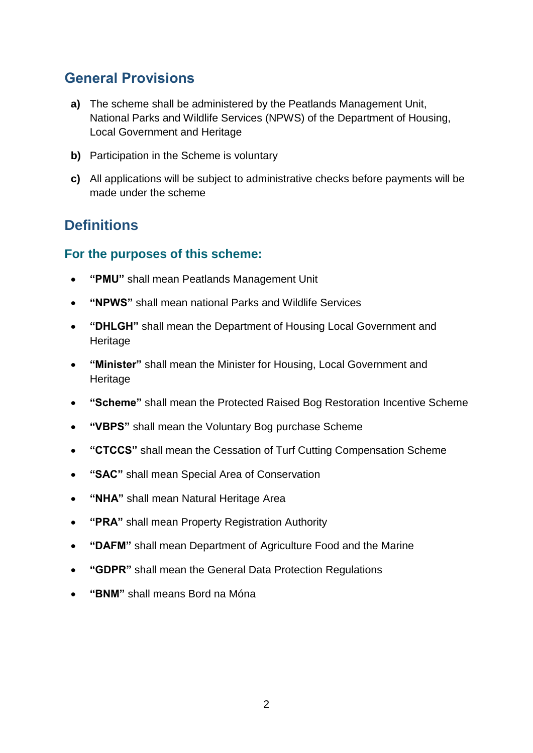# <span id="page-4-0"></span>**General Provisions**

- **a)** The scheme shall be administered by the Peatlands Management Unit, National Parks and Wildlife Services (NPWS) of the Department of Housing, Local Government and Heritage
- **b)** Participation in the Scheme is voluntary
- **c)** All applications will be subject to administrative checks before payments will be made under the scheme

## <span id="page-4-1"></span>**Definitions**

## **For the purposes of this scheme:**

- **"PMU"** shall mean Peatlands Management Unit
- **"NPWS"** shall mean national Parks and Wildlife Services
- **"DHLGH"** shall mean the Department of Housing Local Government and Heritage
- **"Minister"** shall mean the Minister for Housing, Local Government and Heritage
- **"Scheme"** shall mean the Protected Raised Bog Restoration Incentive Scheme
- **"VBPS"** shall mean the Voluntary Bog purchase Scheme
- **"CTCCS"** shall mean the Cessation of Turf Cutting Compensation Scheme
- **"SAC"** shall mean Special Area of Conservation
- **"NHA"** shall mean Natural Heritage Area
- **"PRA"** shall mean Property Registration Authority
- **"DAFM"** shall mean Department of Agriculture Food and the Marine
- **"GDPR"** shall mean the General Data Protection Regulations
- **"BNM"** shall means Bord na Móna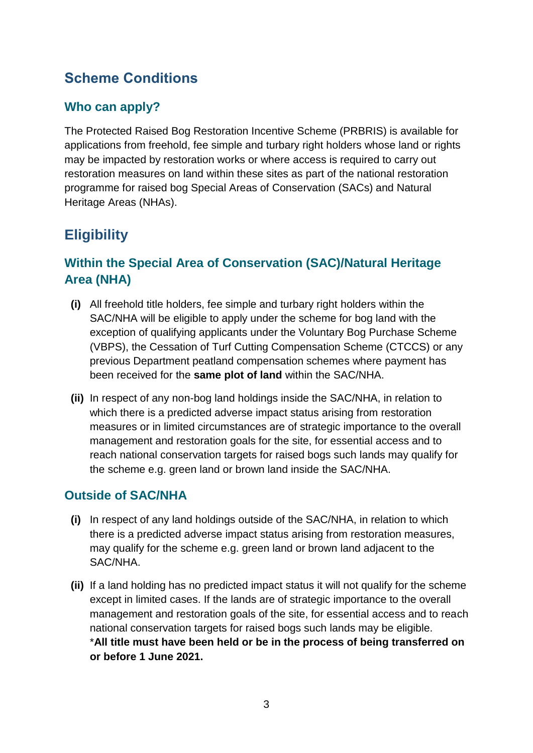# <span id="page-5-0"></span>**Scheme Conditions**

## <span id="page-5-1"></span>**Who can apply?**

The Protected Raised Bog Restoration Incentive Scheme (PRBRIS) is available for applications from freehold, fee simple and turbary right holders whose land or rights may be impacted by restoration works or where access is required to carry out restoration measures on land within these sites as part of the national restoration programme for raised bog Special Areas of Conservation (SACs) and Natural Heritage Areas (NHAs).

# <span id="page-5-2"></span>**Eligibility**

## <span id="page-5-3"></span>**Within the Special Area of Conservation (SAC)/Natural Heritage Area (NHA)**

- **(i)** All freehold title holders, fee simple and turbary right holders within the SAC/NHA will be eligible to apply under the scheme for bog land with the exception of qualifying applicants under the Voluntary Bog Purchase Scheme (VBPS), the Cessation of Turf Cutting Compensation Scheme (CTCCS) or any previous Department peatland compensation schemes where payment has been received for the **same plot of land** within the SAC/NHA.
- **(ii)** In respect of any non-bog land holdings inside the SAC/NHA, in relation to which there is a predicted adverse impact status arising from restoration measures or in limited circumstances are of strategic importance to the overall management and restoration goals for the site, for essential access and to reach national conservation targets for raised bogs such lands may qualify for the scheme e.g. green land or brown land inside the SAC/NHA.

## <span id="page-5-4"></span>**Outside of SAC/NHA**

- **(i)** In respect of any land holdings outside of the SAC/NHA, in relation to which there is a predicted adverse impact status arising from restoration measures, may qualify for the scheme e.g. green land or brown land adjacent to the SAC/NHA.
- **(ii)** If a land holding has no predicted impact status it will not qualify for the scheme except in limited cases. If the lands are of strategic importance to the overall management and restoration goals of the site, for essential access and to reach national conservation targets for raised bogs such lands may be eligible. \***All title must have been held or be in the process of being transferred on or before 1 June 2021.**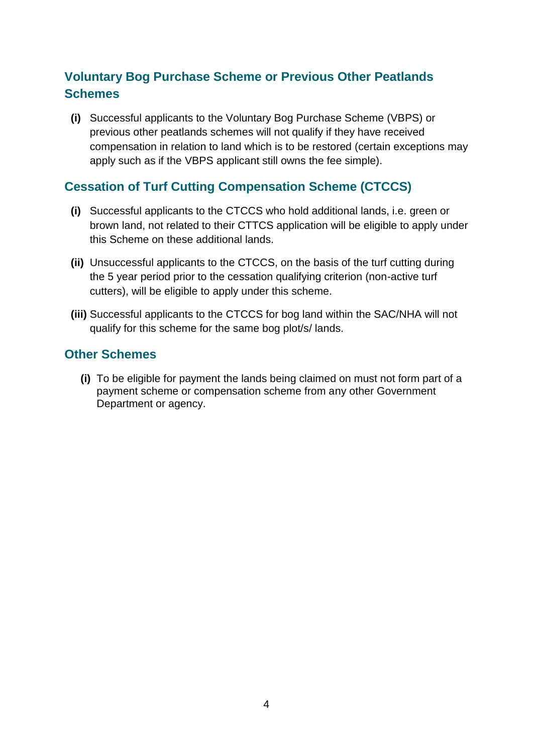## <span id="page-6-0"></span>**Voluntary Bog Purchase Scheme or Previous Other Peatlands Schemes**

**(i)** Successful applicants to the Voluntary Bog Purchase Scheme (VBPS) or previous other peatlands schemes will not qualify if they have received compensation in relation to land which is to be restored (certain exceptions may apply such as if the VBPS applicant still owns the fee simple).

## <span id="page-6-1"></span>**Cessation of Turf Cutting Compensation Scheme (CTCCS)**

- **(i)** Successful applicants to the CTCCS who hold additional lands, i.e. green or brown land, not related to their CTTCS application will be eligible to apply under this Scheme on these additional lands.
- **(ii)** Unsuccessful applicants to the CTCCS, on the basis of the turf cutting during the 5 year period prior to the cessation qualifying criterion (non-active turf cutters), will be eligible to apply under this scheme.
- **(iii)** Successful applicants to the CTCCS for bog land within the SAC/NHA will not qualify for this scheme for the same bog plot/s/ lands.

## **Other Schemes**

**(i)** To be eligible for payment the lands being claimed on must not form part of a payment scheme or compensation scheme from any other Government Department or agency.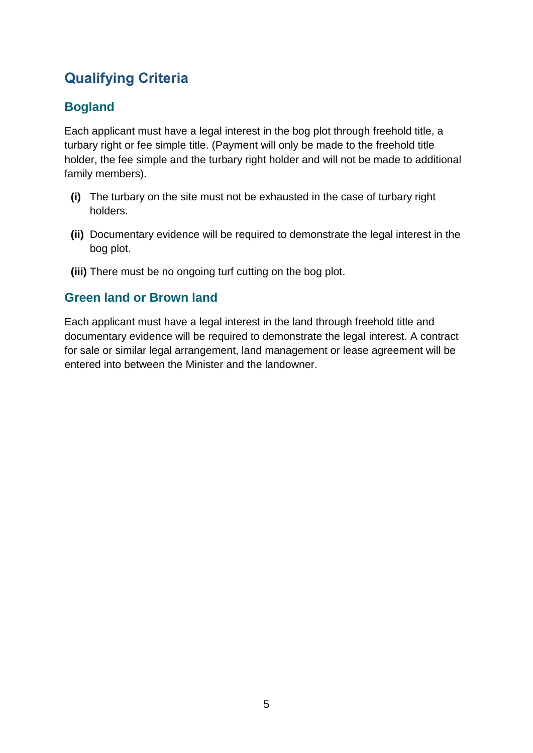# <span id="page-7-0"></span>**Qualifying Criteria**

## <span id="page-7-1"></span>**Bogland**

Each applicant must have a legal interest in the bog plot through freehold title, a turbary right or fee simple title. (Payment will only be made to the freehold title holder, the fee simple and the turbary right holder and will not be made to additional family members).

- **(i)** The turbary on the site must not be exhausted in the case of turbary right holders.
- **(ii)** Documentary evidence will be required to demonstrate the legal interest in the bog plot.
- **(iii)** There must be no ongoing turf cutting on the bog plot.

## <span id="page-7-2"></span>**Green land or Brown land**

Each applicant must have a legal interest in the land through freehold title and documentary evidence will be required to demonstrate the legal interest. A contract for sale or similar legal arrangement, land management or lease agreement will be entered into between the Minister and the landowner.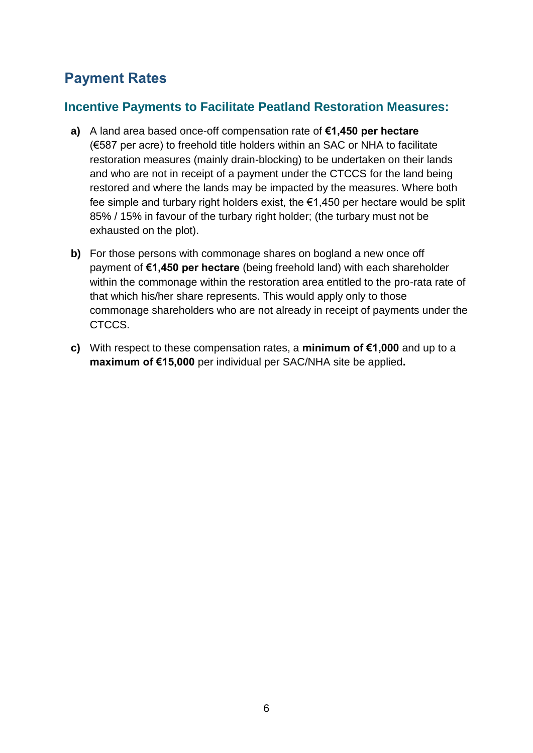# <span id="page-8-0"></span>**Payment Rates**

## <span id="page-8-1"></span>**Incentive Payments to Facilitate Peatland Restoration Measures:**

- **a)** A land area based once-off compensation rate of **€1,450 per hectare**  (€587 per acre) to freehold title holders within an SAC or NHA to facilitate restoration measures (mainly drain-blocking) to be undertaken on their lands and who are not in receipt of a payment under the CTCCS for the land being restored and where the lands may be impacted by the measures. Where both fee simple and turbary right holders exist, the €1,450 per hectare would be split 85% / 15% in favour of the turbary right holder; (the turbary must not be exhausted on the plot).
- **b)** For those persons with commonage shares on bogland a new once off payment of **€1,450 per hectare** (being freehold land) with each shareholder within the commonage within the restoration area entitled to the pro-rata rate of that which his/her share represents. This would apply only to those commonage shareholders who are not already in receipt of payments under the CTCCS.
- **c)** With respect to these compensation rates, a **minimum of €1,000** and up to a **maximum of €15,000** per individual per SAC/NHA site be applied**.**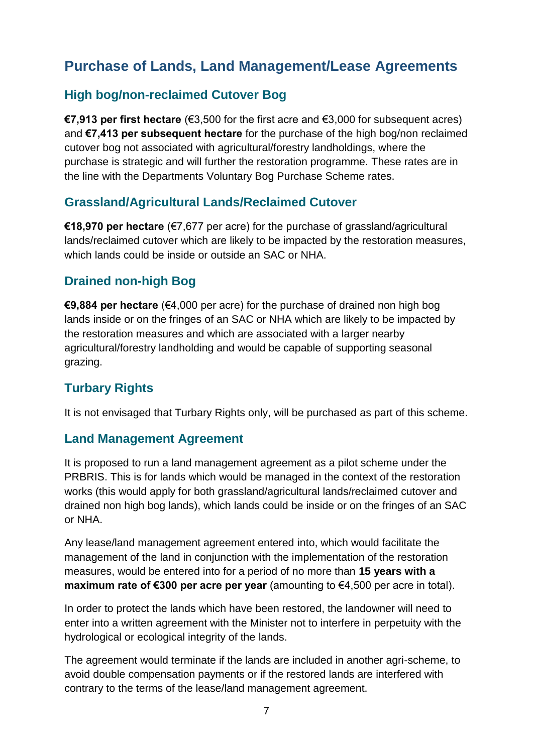# <span id="page-9-0"></span>**Purchase of Lands, Land Management/Lease Agreements**

## <span id="page-9-1"></span>**High bog/non-reclaimed Cutover Bog**

**€7,913 per first hectare** (€3,500 for the first acre and €3,000 for subsequent acres) and **€7,413 per subsequent hectare** for the purchase of the high bog/non reclaimed cutover bog not associated with agricultural/forestry landholdings, where the purchase is strategic and will further the restoration programme. These rates are in the line with the Departments Voluntary Bog Purchase Scheme rates.

## <span id="page-9-2"></span>**Grassland/Agricultural Lands/Reclaimed Cutover**

**€18,970 per hectare** (€7,677 per acre) for the purchase of grassland/agricultural lands/reclaimed cutover which are likely to be impacted by the restoration measures, which lands could be inside or outside an SAC or NHA.

## <span id="page-9-3"></span>**Drained non-high Bog**

**€9,884 per hectare** (€4,000 per acre) for the purchase of drained non high bog lands inside or on the fringes of an SAC or NHA which are likely to be impacted by the restoration measures and which are associated with a larger nearby agricultural/forestry landholding and would be capable of supporting seasonal grazing.

## <span id="page-9-4"></span>**Turbary Rights**

It is not envisaged that Turbary Rights only, will be purchased as part of this scheme.

## <span id="page-9-5"></span>**Land Management Agreement**

It is proposed to run a land management agreement as a pilot scheme under the PRBRIS. This is for lands which would be managed in the context of the restoration works (this would apply for both grassland/agricultural lands/reclaimed cutover and drained non high bog lands), which lands could be inside or on the fringes of an SAC or NHA.

Any lease/land management agreement entered into, which would facilitate the management of the land in conjunction with the implementation of the restoration measures, would be entered into for a period of no more than **15 years with a maximum rate of €300 per acre per year** (amounting to €4,500 per acre in total).

In order to protect the lands which have been restored, the landowner will need to enter into a written agreement with the Minister not to interfere in perpetuity with the hydrological or ecological integrity of the lands.

The agreement would terminate if the lands are included in another agri-scheme, to avoid double compensation payments or if the restored lands are interfered with contrary to the terms of the lease/land management agreement.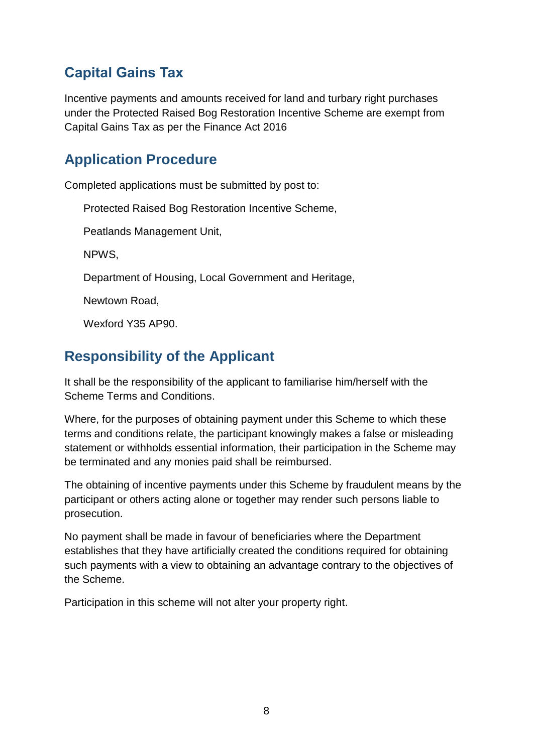# <span id="page-10-0"></span>**Capital Gains Tax**

Incentive payments and amounts received for land and turbary right purchases under the Protected Raised Bog Restoration Incentive Scheme are exempt from Capital Gains Tax as per the Finance Act 2016

# <span id="page-10-1"></span>**Application Procedure**

Completed applications must be submitted by post to:

Protected Raised Bog Restoration Incentive Scheme,

Peatlands Management Unit,

NPWS,

Department of Housing, Local Government and Heritage,

Newtown Road,

Wexford Y35 AP90.

# <span id="page-10-2"></span>**Responsibility of the Applicant**

It shall be the responsibility of the applicant to familiarise him/herself with the Scheme Terms and Conditions.

Where, for the purposes of obtaining payment under this Scheme to which these terms and conditions relate, the participant knowingly makes a false or misleading statement or withholds essential information, their participation in the Scheme may be terminated and any monies paid shall be reimbursed.

The obtaining of incentive payments under this Scheme by fraudulent means by the participant or others acting alone or together may render such persons liable to prosecution.

No payment shall be made in favour of beneficiaries where the Department establishes that they have artificially created the conditions required for obtaining such payments with a view to obtaining an advantage contrary to the objectives of the Scheme.

Participation in this scheme will not alter your property right.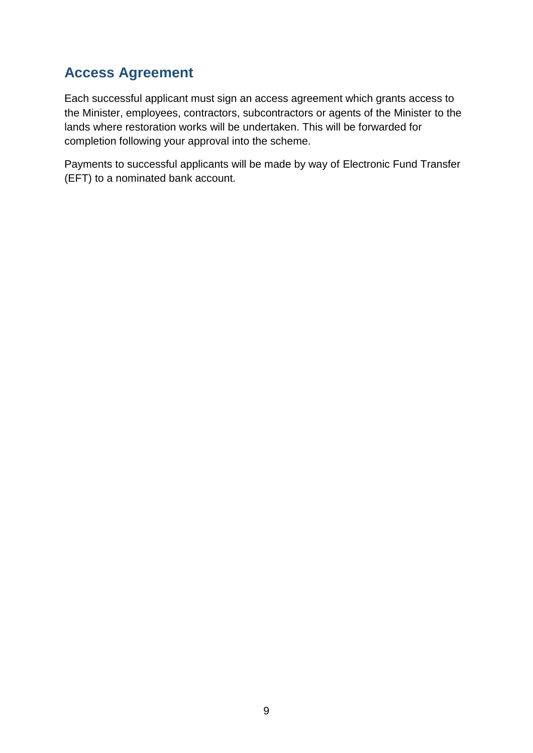# **Access Agreement**

Each successful applicant must sign an access agreement which grants access to the Minister, employees, contractors, subcontractors or agents of the Minister to the lands where restoration works will be undertaken. This will be forwarded for completion following your approval into the scheme.

Payments to successful applicants will be made by way of Electronic Fund Transfer (EFT) to a nominated bank account.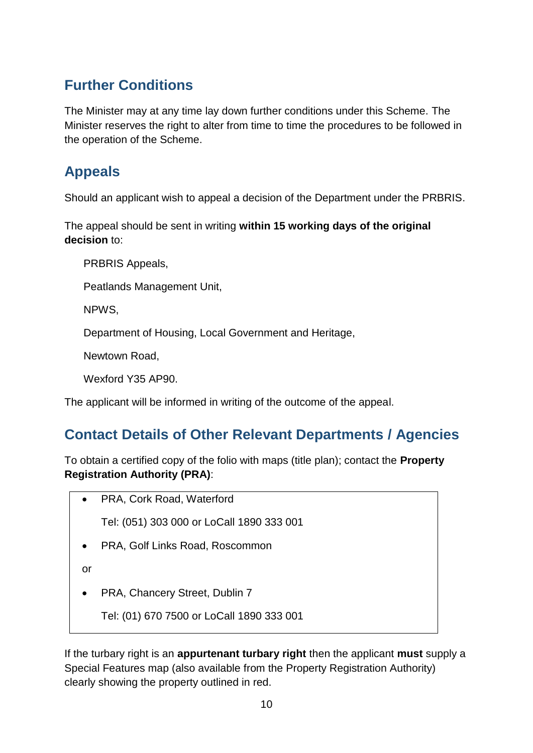# **Further Conditions**

The Minister may at any time lay down further conditions under this Scheme. The Minister reserves the right to alter from time to time the procedures to be followed in the operation of the Scheme.

# <span id="page-12-0"></span>**Appeals**

Should an applicant wish to appeal a decision of the Department under the PRBRIS.

The appeal should be sent in writing **within 15 working days of the original decision** to:

PRBRIS Appeals,

Peatlands Management Unit,

NPWS,

Department of Housing, Local Government and Heritage,

Newtown Road,

Wexford Y35 AP90.

The applicant will be informed in writing of the outcome of the appeal.

# <span id="page-12-1"></span>**Contact Details of Other Relevant Departments / Agencies**

To obtain a certified copy of the folio with maps (title plan); contact the **Property Registration Authority (PRA)**:

PRA, Cork Road, Waterford

Tel: (051) 303 000 or LoCall 1890 333 001

PRA, Golf Links Road, Roscommon

or

PRA, Chancery Street, Dublin 7

Tel: (01) 670 7500 or LoCall 1890 333 001

If the turbary right is an **appurtenant turbary right** then the applicant **must** supply a Special Features map (also available from the Property Registration Authority) clearly showing the property outlined in red.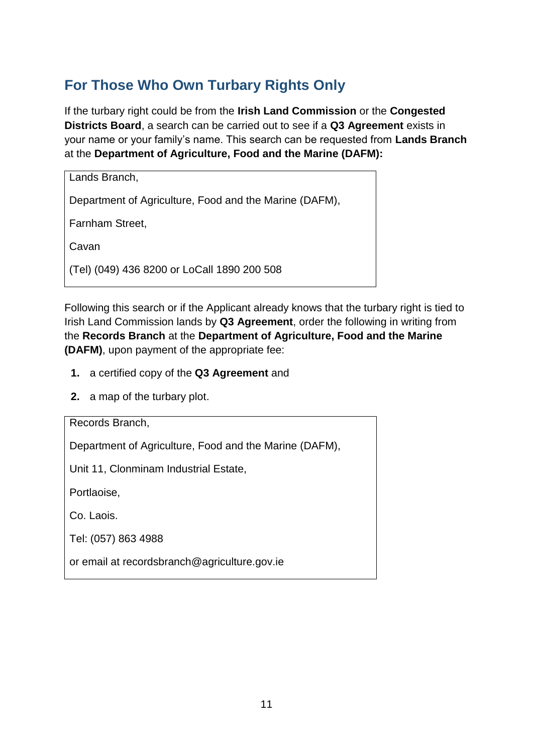# **For Those Who Own Turbary Rights Only**

If the turbary right could be from the **Irish Land Commission** or the **Congested Districts Board**, a search can be carried out to see if a **Q3 Agreement** exists in your name or your family's name. This search can be requested from **Lands Branch**  at the **Department of Agriculture, Food and the Marine (DAFM):**

| Lands Branch,                                          |
|--------------------------------------------------------|
| Department of Agriculture, Food and the Marine (DAFM), |
| Farnham Street,                                        |
| Cavan                                                  |
| (Tel) (049) 436 8200 or LoCall 1890 200 508            |

Following this search or if the Applicant already knows that the turbary right is tied to Irish Land Commission lands by **Q3 Agreement**, order the following in writing from the **Records Branch** at the **Department of Agriculture, Food and the Marine (DAFM)**, upon payment of the appropriate fee:

- **1.** a certified copy of the **Q3 Agreement** and
- **2.** a map of the turbary plot.

Records Branch,

Department of Agriculture, Food and the Marine (DAFM),

Unit 11, Clonminam Industrial Estate,

Portlaoise,

Co. Laois.

Tel: (057) 863 4988

or email at recordsbranch@agriculture.gov.ie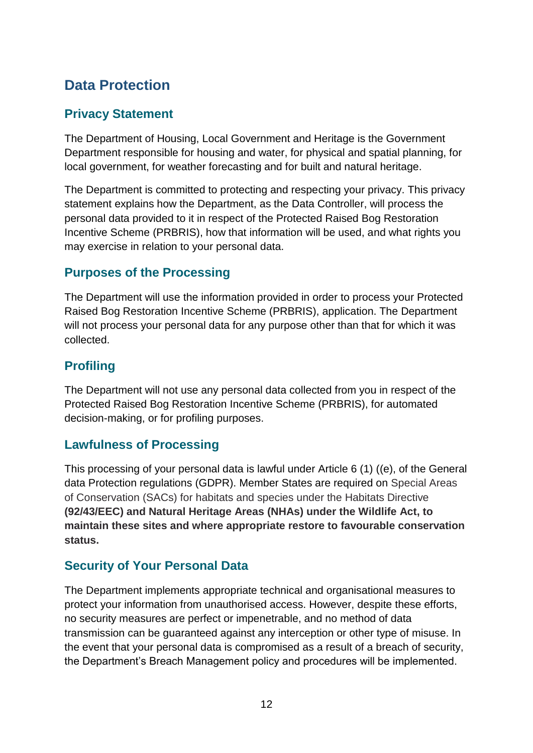# <span id="page-14-0"></span>**Data Protection**

## **Privacy Statement**

The Department of Housing, Local Government and Heritage is the Government Department responsible for housing and water, for physical and spatial planning, for local government, for weather forecasting and for built and natural heritage.

The Department is committed to protecting and respecting your privacy. This privacy statement explains how the Department, as the Data Controller, will process the personal data provided to it in respect of the Protected Raised Bog Restoration Incentive Scheme (PRBRIS), how that information will be used, and what rights you may exercise in relation to your personal data.

## **Purposes of the Processing**

The Department will use the information provided in order to process your Protected Raised Bog Restoration Incentive Scheme (PRBRIS), application. The Department will not process your personal data for any purpose other than that for which it was collected.

## **Profiling**

The Department will not use any personal data collected from you in respect of the Protected Raised Bog Restoration Incentive Scheme (PRBRIS), for automated decision-making, or for profiling purposes.

## **Lawfulness of Processing**

This processing of your personal data is lawful under Article 6 (1) ((e), of the General data Protection regulations (GDPR). Member States are required on Special Areas of Conservation (SACs) for habitats and species under the Habitats Directive **(92/43/EEC) and Natural Heritage Areas (NHAs) under the Wildlife Act, to maintain these sites and where appropriate restore to favourable conservation status.**

## **Security of Your Personal Data**

The Department implements appropriate technical and organisational measures to protect your information from unauthorised access. However, despite these efforts, no security measures are perfect or impenetrable, and no method of data transmission can be guaranteed against any interception or other type of misuse. In the event that your personal data is compromised as a result of a breach of security, the Department's Breach Management policy and procedures will be implemented.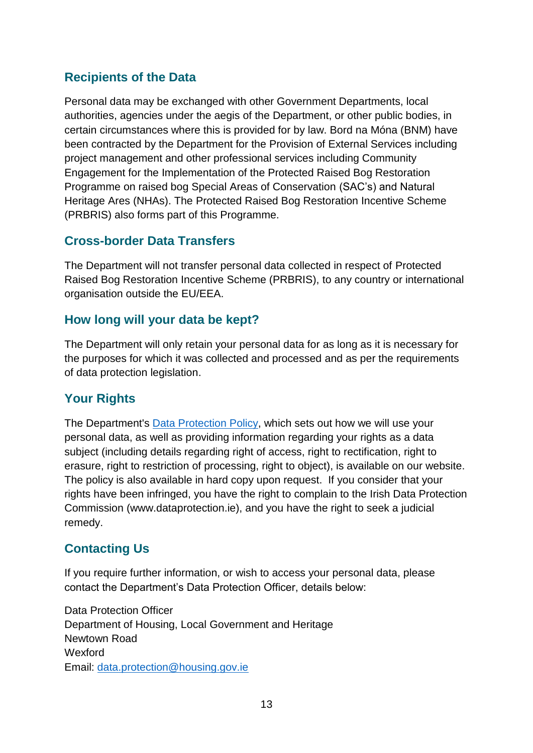## **Recipients of the Data**

Personal data may be exchanged with other Government Departments, local authorities, agencies under the aegis of the Department, or other public bodies, in certain circumstances where this is provided for by law. Bord na Móna (BNM) have been contracted by the Department for the Provision of External Services including project management and other professional services including Community Engagement for the Implementation of the Protected Raised Bog Restoration Programme on raised bog Special Areas of Conservation (SAC's) and Natural Heritage Ares (NHAs). The Protected Raised Bog Restoration Incentive Scheme (PRBRIS) also forms part of this Programme.

## **Cross-border Data Transfers**

The Department will not transfer personal data collected in respect of Protected Raised Bog Restoration Incentive Scheme (PRBRIS), to any country or international organisation outside the EU/EEA.

#### **How long will your data be kept?**

The Department will only retain your personal data for as long as it is necessary for the purposes for which it was collected and processed and as per the requirements of data protection legislation.

## **Your Rights**

The Department's **Data Protection Policy**, which sets out how we will use your personal data, as well as providing information regarding your rights as a data subject (including details regarding right of access, right to rectification, right to erasure, right to restriction of processing, right to object), is available on our website. The policy is also available in hard copy upon request. If you consider that your rights have been infringed, you have the right to complain to the Irish Data Protection Commission (www.dataprotection.ie), and you have the right to seek a judicial remedy.

## **Contacting Us**

If you require further information, or wish to access your personal data, please contact the Department's Data Protection Officer, details below:

Data Protection Officer Department of Housing, Local Government and Heritage Newtown Road Wexford Email: [data.protection@housing.gov.ie](mailto:data.protection@housing.gov.ie)